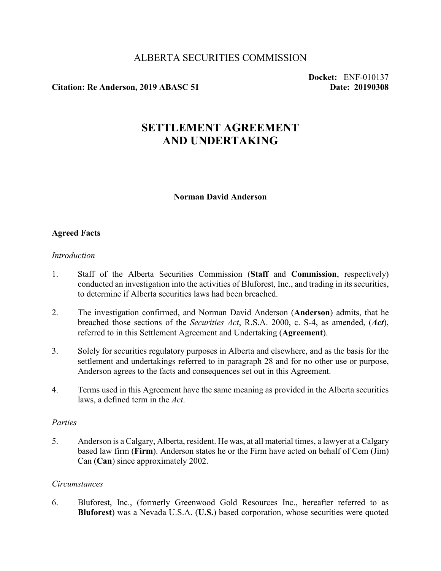## ALBERTA SECURITIES COMMISSION

## **Citation: Re Anderson, 2019 ABASC 51 Date: 20190308**

**Docket:** ENF-010137

# **SETTLEMENT AGREEMENT AND UNDERTAKING**

#### **Norman David Anderson**

## **Agreed Facts**

#### *Introduction*

- 1. Staff of the Alberta Securities Commission (**Staff** and **Commission**, respectively) conducted an investigation into the activities of Bluforest, Inc., and trading in its securities, to determine if Alberta securities laws had been breached.
- 2. The investigation confirmed, and Norman David Anderson (**Anderson**) admits, that he breached those sections of the *Securities Act*, R.S.A. 2000, c. S-4, as amended, (*Act*), referred to in this Settlement Agreement and Undertaking (**Agreement**).
- 3. Solely for securities regulatory purposes in Alberta and elsewhere, and as the basis for the settlement and undertakings referred to in paragraph 28 and for no other use or purpose, Anderson agrees to the facts and consequences set out in this Agreement.
- 4. Terms used in this Agreement have the same meaning as provided in the Alberta securities laws, a defined term in the *Act*.

#### *Parties*

5. Anderson is a Calgary, Alberta, resident. He was, at all material times, a lawyer at a Calgary based law firm (**Firm**). Anderson states he or the Firm have acted on behalf of Cem (Jim) Can (**Can**) since approximately 2002.

#### *Circumstances*

6. Bluforest, Inc., (formerly Greenwood Gold Resources Inc., hereafter referred to as **Bluforest**) was a Nevada U.S.A. (**U.S.**) based corporation, whose securities were quoted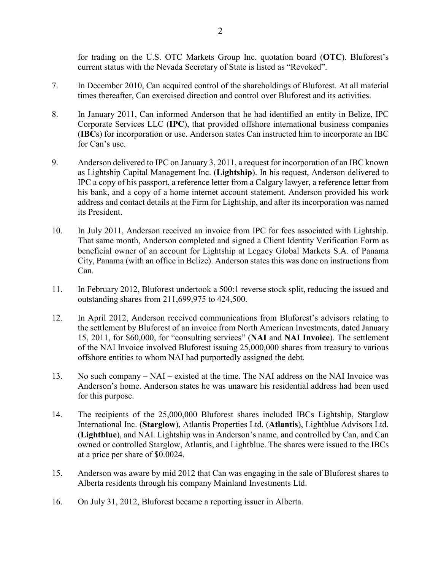for trading on the U.S. OTC Markets Group Inc. quotation board (**OTC**). Bluforest's current status with the Nevada Secretary of State is listed as "Revoked".

- 7. In December 2010, Can acquired control of the shareholdings of Bluforest. At all material times thereafter, Can exercised direction and control over Bluforest and its activities.
- 8. In January 2011, Can informed Anderson that he had identified an entity in Belize, IPC Corporate Services LLC (**IPC**), that provided offshore international business companies (**IBC**s) for incorporation or use. Anderson states Can instructed him to incorporate an IBC for Can's use.
- 9. Anderson delivered to IPC on January 3, 2011, a request for incorporation of an IBC known as Lightship Capital Management Inc. (**Lightship**). In his request, Anderson delivered to IPC a copy of his passport, a reference letter from a Calgary lawyer, a reference letter from his bank, and a copy of a home internet account statement. Anderson provided his work address and contact details at the Firm for Lightship, and after its incorporation was named its President.
- 10. In July 2011, Anderson received an invoice from IPC for fees associated with Lightship. That same month, Anderson completed and signed a Client Identity Verification Form as beneficial owner of an account for Lightship at Legacy Global Markets S.A. of Panama City, Panama (with an office in Belize). Anderson states this was done on instructions from Can.
- 11. In February 2012, Bluforest undertook a 500:1 reverse stock split, reducing the issued and outstanding shares from 211,699,975 to 424,500.
- 12. In April 2012, Anderson received communications from Bluforest's advisors relating to the settlement by Bluforest of an invoice from North American Investments, dated January 15, 2011, for \$60,000, for "consulting services" (**NAI** and **NAI Invoice**). The settlement of the NAI Invoice involved Bluforest issuing 25,000,000 shares from treasury to various offshore entities to whom NAI had purportedly assigned the debt.
- 13. No such company NAI existed at the time. The NAI address on the NAI Invoice was Anderson's home. Anderson states he was unaware his residential address had been used for this purpose.
- 14. The recipients of the 25,000,000 Bluforest shares included IBCs Lightship, Starglow International Inc. (**Starglow**), Atlantis Properties Ltd. (**Atlantis**), Lightblue Advisors Ltd. (**Lightblue**), and NAI. Lightship was in Anderson's name, and controlled by Can, and Can owned or controlled Starglow, Atlantis, and Lightblue. The shares were issued to the IBCs at a price per share of \$0.0024.
- 15. Anderson was aware by mid 2012 that Can was engaging in the sale of Bluforest shares to Alberta residents through his company Mainland Investments Ltd.
- 16. On July 31, 2012, Bluforest became a reporting issuer in Alberta.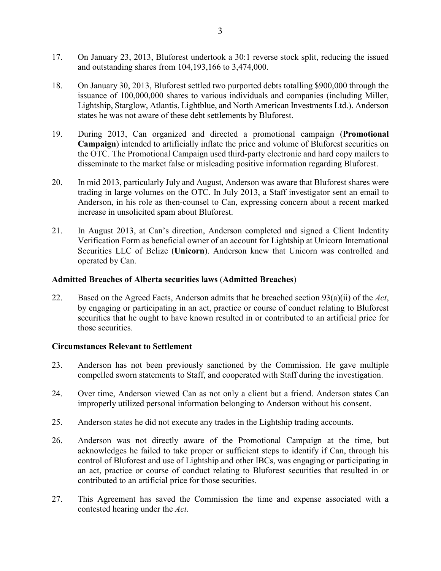- 17. On January 23, 2013, Bluforest undertook a 30:1 reverse stock split, reducing the issued and outstanding shares from 104,193,166 to 3,474,000.
- 18. On January 30, 2013, Bluforest settled two purported debts totalling \$900,000 through the issuance of 100,000,000 shares to various individuals and companies (including Miller, Lightship, Starglow, Atlantis, Lightblue, and North American Investments Ltd.). Anderson states he was not aware of these debt settlements by Bluforest.
- 19. During 2013, Can organized and directed a promotional campaign (**Promotional Campaign**) intended to artificially inflate the price and volume of Bluforest securities on the OTC. The Promotional Campaign used third-party electronic and hard copy mailers to disseminate to the market false or misleading positive information regarding Bluforest.
- 20. In mid 2013, particularly July and August, Anderson was aware that Bluforest shares were trading in large volumes on the OTC. In July 2013, a Staff investigator sent an email to Anderson, in his role as then-counsel to Can, expressing concern about a recent marked increase in unsolicited spam about Bluforest.
- 21. In August 2013, at Can's direction, Anderson completed and signed a Client Indentity Verification Form as beneficial owner of an account for Lightship at Unicorn International Securities LLC of Belize (**Unicorn**). Anderson knew that Unicorn was controlled and operated by Can.

## **Admitted Breaches of Alberta securities laws** (**Admitted Breaches**)

22. Based on the Agreed Facts, Anderson admits that he breached section 93(a)(ii) of the *Act*, by engaging or participating in an act, practice or course of conduct relating to Bluforest securities that he ought to have known resulted in or contributed to an artificial price for those securities.

## **Circumstances Relevant to Settlement**

- 23. Anderson has not been previously sanctioned by the Commission. He gave multiple compelled sworn statements to Staff, and cooperated with Staff during the investigation.
- 24. Over time, Anderson viewed Can as not only a client but a friend. Anderson states Can improperly utilized personal information belonging to Anderson without his consent.
- 25. Anderson states he did not execute any trades in the Lightship trading accounts.
- 26. Anderson was not directly aware of the Promotional Campaign at the time, but acknowledges he failed to take proper or sufficient steps to identify if Can, through his control of Bluforest and use of Lightship and other IBCs, was engaging or participating in an act, practice or course of conduct relating to Bluforest securities that resulted in or contributed to an artificial price for those securities.
- 27. This Agreement has saved the Commission the time and expense associated with a contested hearing under the *Act*.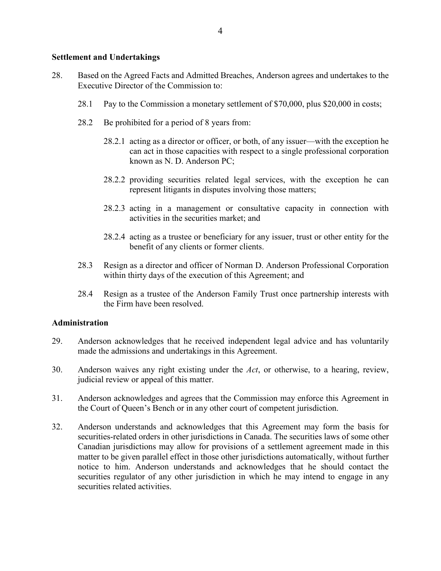## **Settlement and Undertakings**

- 28. Based on the Agreed Facts and Admitted Breaches, Anderson agrees and undertakes to the Executive Director of the Commission to:
	- 28.1 Pay to the Commission a monetary settlement of \$70,000, plus \$20,000 in costs;
	- 28.2 Be prohibited for a period of 8 years from:
		- 28.2.1 acting as a director or officer, or both, of any issuer—with the exception he can act in those capacities with respect to a single professional corporation known as N. D. Anderson PC;
		- 28.2.2 providing securities related legal services, with the exception he can represent litigants in disputes involving those matters;
		- 28.2.3 acting in a management or consultative capacity in connection with activities in the securities market; and
		- 28.2.4 acting as a trustee or beneficiary for any issuer, trust or other entity for the benefit of any clients or former clients.
	- 28.3 Resign as a director and officer of Norman D. Anderson Professional Corporation within thirty days of the execution of this Agreement; and
	- 28.4 Resign as a trustee of the Anderson Family Trust once partnership interests with the Firm have been resolved.

## **Administration**

- 29. Anderson acknowledges that he received independent legal advice and has voluntarily made the admissions and undertakings in this Agreement.
- 30. Anderson waives any right existing under the *Act*, or otherwise, to a hearing, review, judicial review or appeal of this matter.
- 31. Anderson acknowledges and agrees that the Commission may enforce this Agreement in the Court of Queen's Bench or in any other court of competent jurisdiction.
- 32. Anderson understands and acknowledges that this Agreement may form the basis for securities-related orders in other jurisdictions in Canada. The securities laws of some other Canadian jurisdictions may allow for provisions of a settlement agreement made in this matter to be given parallel effect in those other jurisdictions automatically, without further notice to him. Anderson understands and acknowledges that he should contact the securities regulator of any other jurisdiction in which he may intend to engage in any securities related activities.